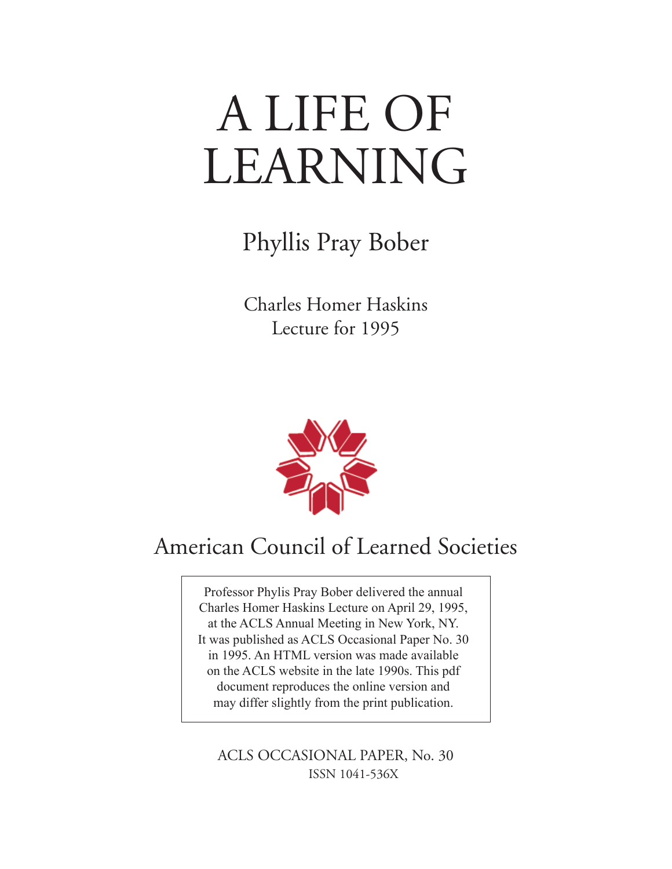# A LIFE OF LEARNING

Phyllis Pray Bober

Charles Homer Haskins Lecture for 1995



## American Council of Learned Societies

Professor Phylis Pray Bober delivered the annual Charles Homer Haskins Lecture on April 29, 1995, at the ACLS Annual Meeting in New York, NY. It was published as ACLS Occasional Paper No. 30 in 1995. An HTML version was made available on the ACLS website in the late 1990s. This pdf document reproduces the online version and may differ slightly from the print publication.

ISSN 1041-536X ACLS OCCASIONAL PAPER, No. 30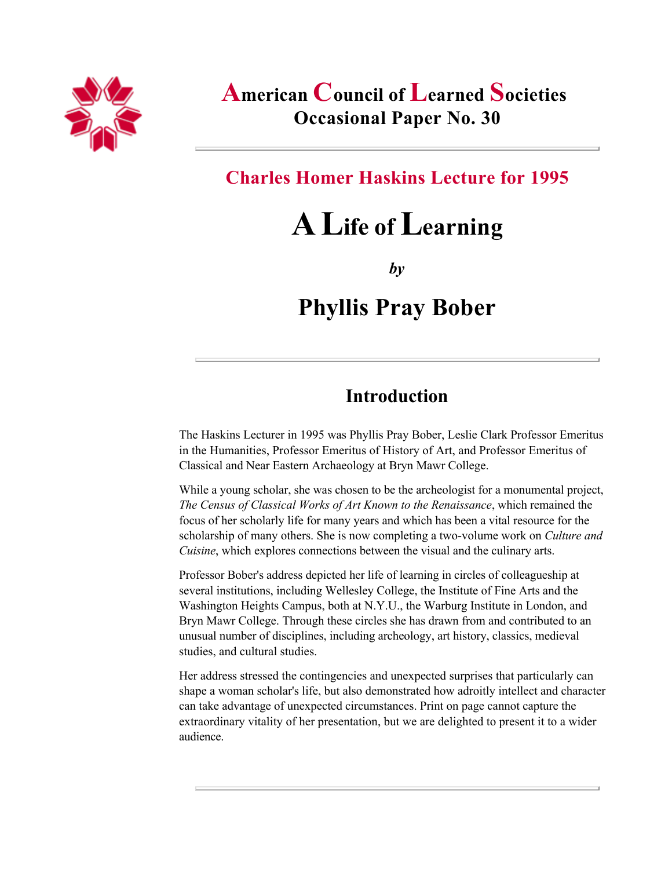

### American Council of Learned Societies Occasional Paper No. 30

#### Charles Homer Haskins Lecture for 1995

# A Life of Learning

*by*

## Phyllis Pray Bober

#### Introduction

The Haskins Lecturer in 1995 was Phyllis Pray Bober, Leslie Clark Professor Emeritus in the Humanities, Professor Emeritus of History of Art, and Professor Emeritus of Classical and Near Eastern Archaeology at Bryn Mawr College.

While a young scholar, she was chosen to be the archeologist for a monumental project, *The Census of Classical Works of Art Known to the Renaissance*, which remained the focus of her scholarly life for many years and which has been a vital resource for the scholarship of many others. She is now completing a two-volume work on *Culture and Cuisine*, which explores connections between the visual and the culinary arts.

Professor Bober's address depicted her life of learning in circles of colleagueship at several institutions, including Wellesley College, the Institute of Fine Arts and the Washington Heights Campus, both at N.Y.U., the Warburg Institute in London, and Bryn Mawr College. Through these circles she has drawn from and contributed to an unusual number of disciplines, including archeology, art history, classics, medieval studies, and cultural studies.

Her address stressed the contingencies and unexpected surprises that particularly can shape a woman scholar's life, but also demonstrated how adroitly intellect and character can take advantage of unexpected circumstances. Print on page cannot capture the extraordinary vitality of her presentation, but we are delighted to present it to a wider audience.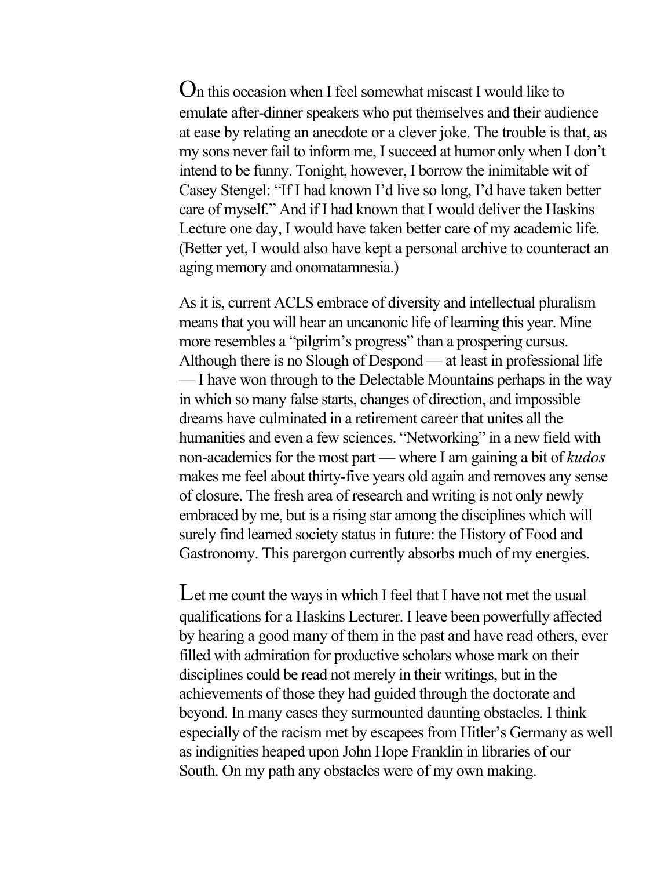On this occasion when I feel somewhat miscast I would like to emulate after-dinner speakers who put themselves and their audience at ease by relating an anecdote or a clever joke. The trouble is that, as my sons never fail to inform me, I succeed at humor only when I don't intend to be funny. Tonight, however, I borrow the inimitable wit of Casey Stengel: "If I had known I'd live so long, I'd have taken better care of myself." And if I had known that I would deliver the Haskins Lecture one day, I would have taken better care of my academic life. (Better yet, I would also have kept a personal archive to counteract an aging memory and onomatamnesia.)

As it is, current ACLS embrace of diversity and intellectual pluralism means that you will hear an uncanonic life of learning this year. Mine more resembles a "pilgrim's progress" than a prospering cursus. Although there is no Slough of Despond — at least in professional life — I have won through to the Delectable Mountains perhaps in the way in which so many false starts, changes of direction, and impossible dreams have culminated in a retirement career that unites all the humanities and even a few sciences. "Networking" in a new field with non-academics for the most part — where I am gaining a bit of *kudos* makes me feel about thirty-five years old again and removes any sense of closure. The fresh area of research and writing is not only newly embraced by me, but is a rising star among the disciplines which will surely find learned society status in future: the History of Food and Gastronomy. This parergon currently absorbs much of my energies.

Let me count the ways in which I feel that I have not met the usual qualifications for a Haskins Lecturer. I leave been powerfully affected by hearing a good many of them in the past and have read others, ever filled with admiration for productive scholars whose mark on their disciplines could be read not merely in their writings, but in the achievements of those they had guided through the doctorate and beyond. In many cases they surmounted daunting obstacles. I think especially of the racism met by escapees from Hitler's Germany as well as indignities heaped upon John Hope Franklin in libraries of our South. On my path any obstacles were of my own making.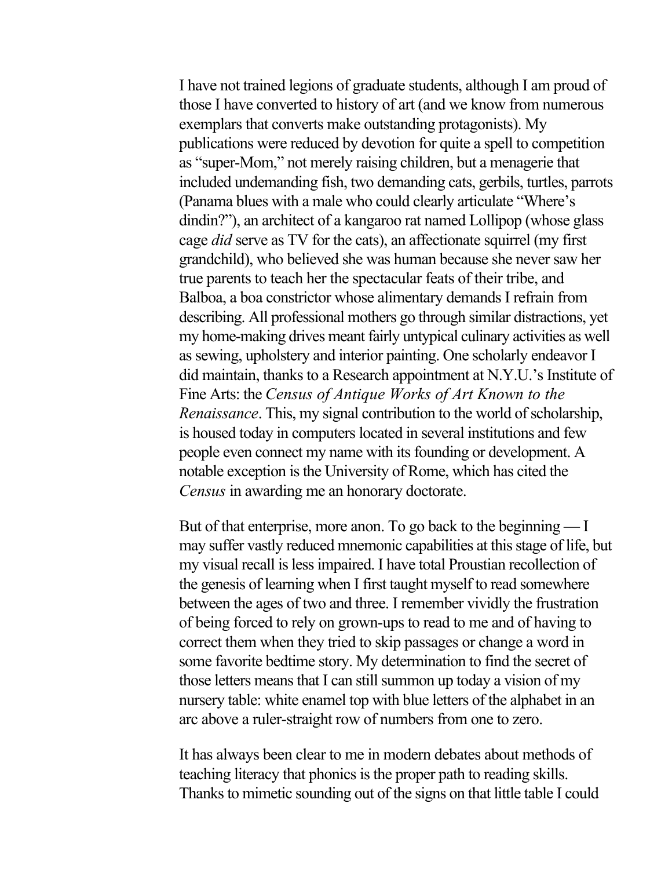I have not trained legions of graduate students, although I am proud of those I have converted to history of art (and we know from numerous exemplars that converts make outstanding protagonists). My publications were reduced by devotion for quite a spell to competition as "super-Mom," not merely raising children, but a menagerie that included undemanding fish, two demanding cats, gerbils, turtles, parrots (Panama blues with a male who could clearly articulate "Where's dindin?"), an architect of a kangaroo rat named Lollipop (whose glass cage *did* serve as TV for the cats), an affectionate squirrel (my first grandchild), who believed she was human because she never saw her true parents to teach her the spectacular feats of their tribe, and Balboa, a boa constrictor whose alimentary demands I refrain from describing. All professional mothers go through similar distractions, yet my home-making drives meant fairly untypical culinary activities as well as sewing, upholstery and interior painting. One scholarly endeavor I did maintain, thanks to a Research appointment at N.Y.U.'s Institute of Fine Arts: the *Census of Antique Works of Art Known to the Renaissance*. This, my signal contribution to the world of scholarship, is housed today in computers located in several institutions and few people even connect my name with its founding or development. A notable exception is the University of Rome, which has cited the *Census* in awarding me an honorary doctorate.

But of that enterprise, more anon. To go back to the beginning — I may suffer vastly reduced mnemonic capabilities at this stage of life, but my visual recall is less impaired. I have total Proustian recollection of the genesis of learning when I first taught myself to read somewhere between the ages of two and three. I remember vividly the frustration of being forced to rely on grown-ups to read to me and of having to correct them when they tried to skip passages or change a word in some favorite bedtime story. My determination to find the secret of those letters means that I can still summon up today a vision of my nursery table: white enamel top with blue letters of the alphabet in an arc above a ruler-straight row of numbers from one to zero.

It has always been clear to me in modern debates about methods of teaching literacy that phonics is the proper path to reading skills. Thanks to mimetic sounding out of the signs on that little table I could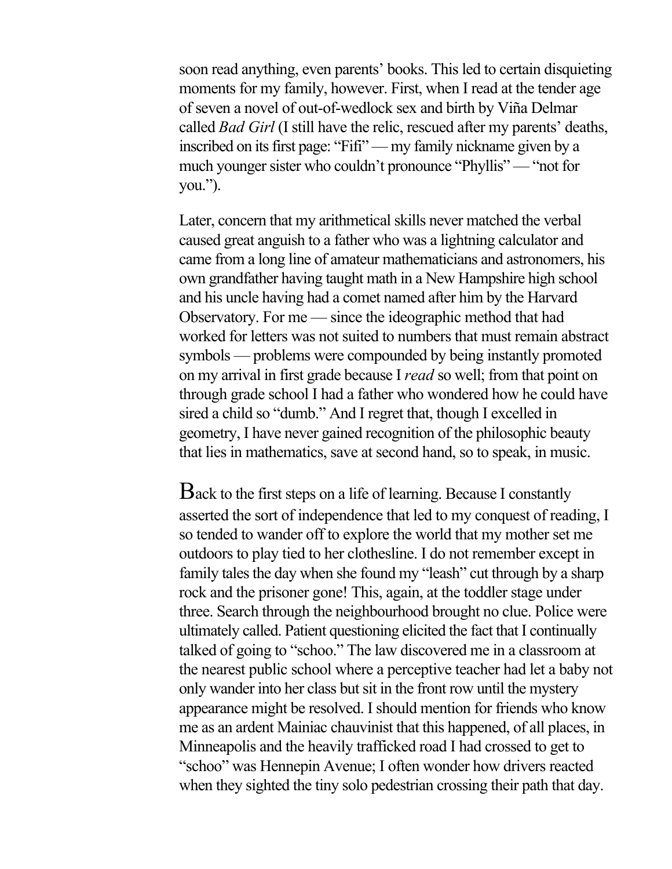soon read anything, even parents' books. This led to certain disquieting moments for my family, however. First, when I read at the tender age of seven a novel of out-of-wedlock sex and birth by Viña Delmar called *Bad Girl* (I still have the relic, rescued after my parents' deaths, inscribed on its first page: "Fifi" — my family nickname given by a much younger sister who couldn't pronounce "Phyllis" — "not for you.").

Later, concern that my arithmetical skills never matched the verbal caused great anguish to a father who was a lightning calculator and came from a long line of amateur mathematicians and astronomers, his own grandfather having taught math in a New Hampshire high school and his uncle having had a comet named after him by the Harvard Observatory. For me — since the ideographic method that had worked for letters was not suited to numbers that must remain abstract symbols — problems were compounded by being instantly promoted on my arrival in first grade because I *read* so well; from that point on through grade school I had a father who wondered how he could have sired a child so "dumb." And I regret that, though I excelled in geometry, I have never gained recognition of the philosophic beauty that lies in mathematics, save at second hand, so to speak, in music.

Back to the first steps on a life of learning. Because I constantly asserted the sort of independence that led to my conquest of reading, I so tended to wander off to explore the world that my mother set me outdoors to play tied to her clothesline. I do not remember except in family tales the day when she found my "leash" cut through by a sharp rock and the prisoner gone! This, again, at the toddler stage under three. Search through the neighbourhood brought no clue. Police were ultimately called. Patient questioning elicited the fact that I continually talked of going to "schoo." The law discovered me in a classroom at the nearest public school where a perceptive teacher had let a baby not only wander into her class but sit in the front row until the mystery appearance might be resolved. I should mention for friends who know me as an ardent Mainiac chauvinist that this happened, of all places, in Minneapolis and the heavily trafficked road I had crossed to get to "schoo" was Hennepin Avenue; I often wonder how drivers reacted when they sighted the tiny solo pedestrian crossing their path that day.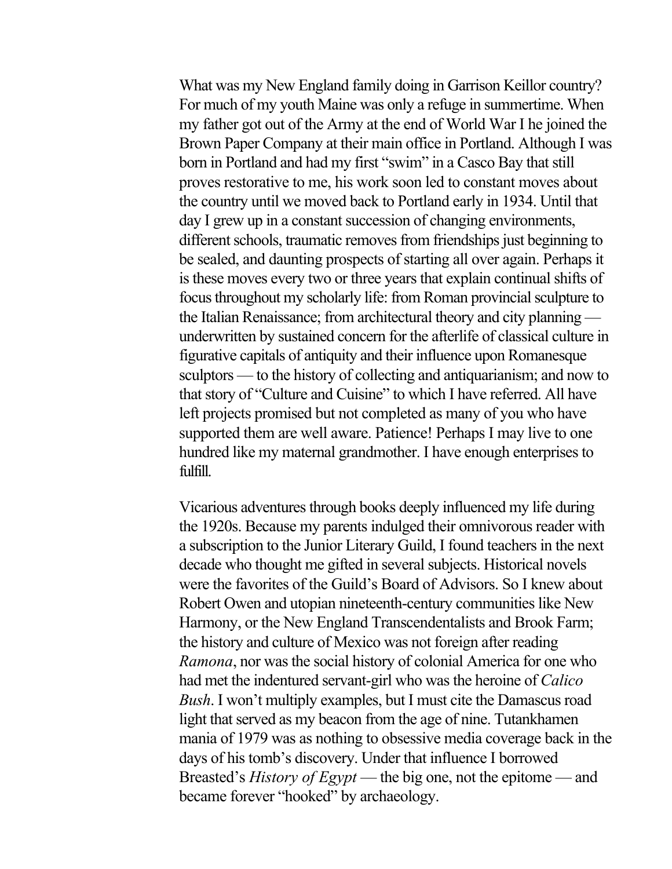What was my New England family doing in Garrison Keillor country? For much of my youth Maine was only a refuge in summertime. When my father got out of the Army at the end of World War I he joined the Brown Paper Company at their main office in Portland. Although I was born in Portland and had my first "swim" in a Casco Bay that still proves restorative to me, his work soon led to constant moves about the country until we moved back to Portland early in 1934. Until that day I grew up in a constant succession of changing environments, different schools, traumatic removes from friendships just beginning to be sealed, and daunting prospects of starting all over again. Perhaps it is these moves every two or three years that explain continual shifts of focus throughout my scholarly life: from Roman provincial sculpture to the Italian Renaissance; from architectural theory and city planning underwritten by sustained concern for the afterlife of classical culture in figurative capitals of antiquity and their influence upon Romanesque sculptors — to the history of collecting and antiquarianism; and now to that story of "Culture and Cuisine" to which I have referred. All have left projects promised but not completed as many of you who have supported them are well aware. Patience! Perhaps I may live to one hundred like my maternal grandmother. I have enough enterprises to fulfill.

Vicarious adventures through books deeply influenced my life during the 1920s. Because my parents indulged their omnivorous reader with a subscription to the Junior Literary Guild, I found teachers in the next decade who thought me gifted in several subjects. Historical novels were the favorites of the Guild's Board of Advisors. So I knew about Robert Owen and utopian nineteenth-century communities like New Harmony, or the New England Transcendentalists and Brook Farm; the history and culture of Mexico was not foreign after reading *Ramona*, nor was the social history of colonial America for one who had met the indentured servant-girl who was the heroine of *Calico Bush*. I won't multiply examples, but I must cite the Damascus road light that served as my beacon from the age of nine. Tutankhamen mania of 1979 was as nothing to obsessive media coverage back in the days of his tomb's discovery. Under that influence I borrowed Breasted's *History of Egypt* — the big one, not the epitome — and became forever "hooked" by archaeology.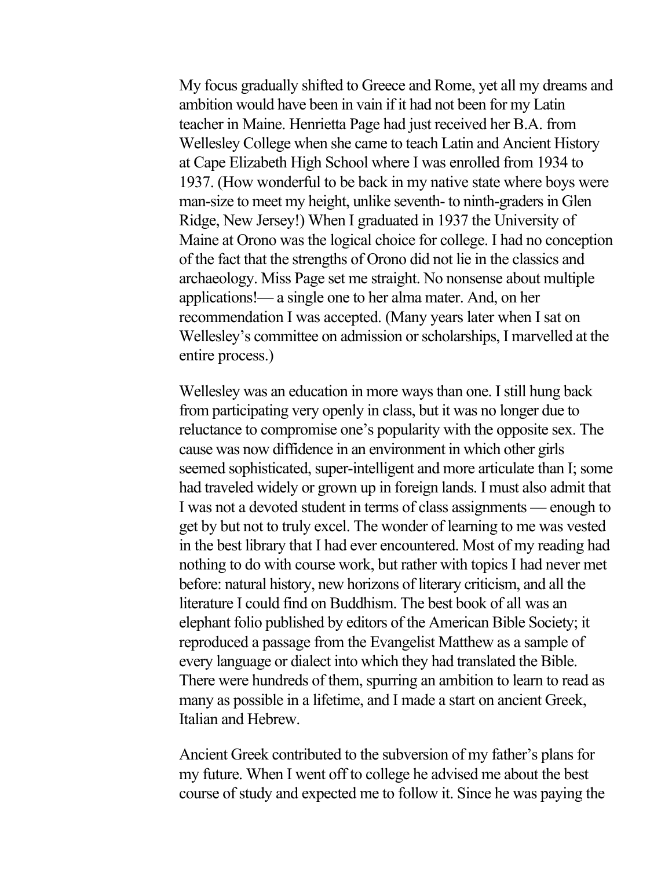My focus gradually shifted to Greece and Rome, yet all my dreams and ambition would have been in vain if it had not been for my Latin teacher in Maine. Henrietta Page had just received her B.A. from Wellesley College when she came to teach Latin and Ancient History at Cape Elizabeth High School where I was enrolled from 1934 to 1937. (How wonderful to be back in my native state where boys were man-size to meet my height, unlike seventh- to ninth-graders in Glen Ridge, New Jersey!) When I graduated in 1937 the University of Maine at Orono was the logical choice for college. I had no conception of the fact that the strengths of Orono did not lie in the classics and archaeology. Miss Page set me straight. No nonsense about multiple applications!— a single one to her alma mater. And, on her recommendation I was accepted. (Many years later when I sat on Wellesley's committee on admission or scholarships, I marvelled at the entire process.)

Wellesley was an education in more ways than one. I still hung back from participating very openly in class, but it was no longer due to reluctance to compromise one's popularity with the opposite sex. The cause was now diffidence in an environment in which other girls seemed sophisticated, super-intelligent and more articulate than I; some had traveled widely or grown up in foreign lands. I must also admit that I was not a devoted student in terms of class assignments — enough to get by but not to truly excel. The wonder of learning to me was vested in the best library that I had ever encountered. Most of my reading had nothing to do with course work, but rather with topics I had never met before: natural history, new horizons of literary criticism, and all the literature I could find on Buddhism. The best book of all was an elephant folio published by editors of the American Bible Society; it reproduced a passage from the Evangelist Matthew as a sample of every language or dialect into which they had translated the Bible. There were hundreds of them, spurring an ambition to learn to read as many as possible in a lifetime, and I made a start on ancient Greek, Italian and Hebrew.

Ancient Greek contributed to the subversion of my father's plans for my future. When I went off to college he advised me about the best course of study and expected me to follow it. Since he was paying the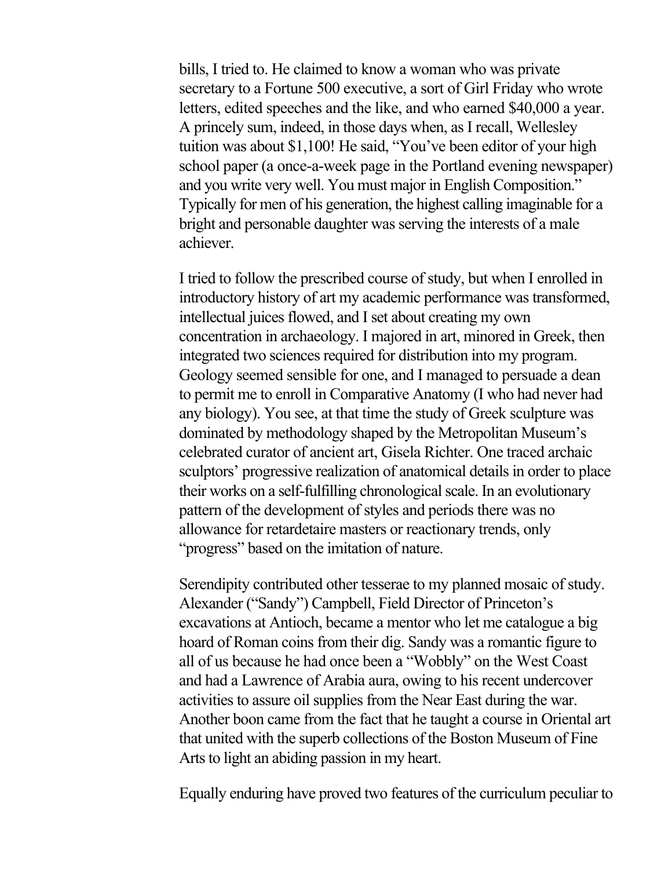bills, I tried to. He claimed to know a woman who was private secretary to a Fortune 500 executive, a sort of Girl Friday who wrote letters, edited speeches and the like, and who earned \$40,000 a year. A princely sum, indeed, in those days when, as I recall, Wellesley tuition was about \$1,100! He said, "You've been editor of your high school paper (a once-a-week page in the Portland evening newspaper) and you write very well. You must major in English Composition." Typically for men of his generation, the highest calling imaginable for a bright and personable daughter was serving the interests of a male achiever.

I tried to follow the prescribed course of study, but when I enrolled in introductory history of art my academic performance was transformed, intellectual juices flowed, and I set about creating my own concentration in archaeology. I majored in art, minored in Greek, then integrated two sciences required for distribution into my program. Geology seemed sensible for one, and I managed to persuade a dean to permit me to enroll in Comparative Anatomy (I who had never had any biology). You see, at that time the study of Greek sculpture was dominated by methodology shaped by the Metropolitan Museum's celebrated curator of ancient art, Gisela Richter. One traced archaic sculptors' progressive realization of anatomical details in order to place their works on a self-fulfilling chronological scale. In an evolutionary pattern of the development of styles and periods there was no allowance for retardetaire masters or reactionary trends, only "progress" based on the imitation of nature.

Serendipity contributed other tesserae to my planned mosaic of study. Alexander ("Sandy") Campbell, Field Director of Princeton's excavations at Antioch, became a mentor who let me catalogue a big hoard of Roman coins from their dig. Sandy was a romantic figure to all of us because he had once been a "Wobbly" on the West Coast and had a Lawrence of Arabia aura, owing to his recent undercover activities to assure oil supplies from the Near East during the war. Another boon came from the fact that he taught a course in Oriental art that united with the superb collections of the Boston Museum of Fine Arts to light an abiding passion in my heart.

Equally enduring have proved two features of the curriculum peculiar to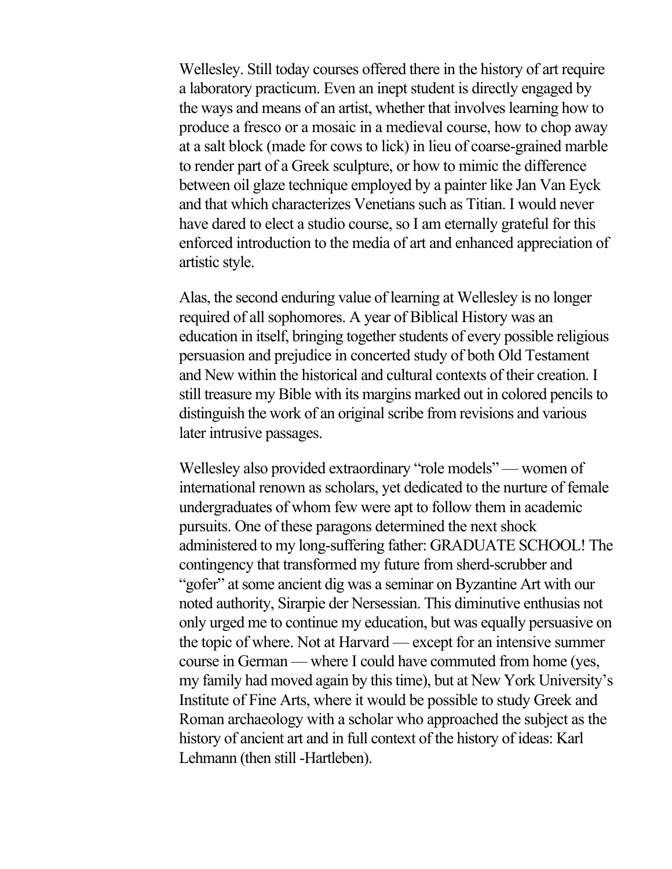Wellesley. Still today courses offered there in the history of art require a laboratory practicum. Even an inept student is directly engaged by the ways and means of an artist, whether that involves learning how to produce a fresco or a mosaic in a medieval course, how to chop away at a salt block (made for cows to lick) in lieu of coarse-grained marble to render part of a Greek sculpture, or how to mimic the difference between oil glaze technique employed by a painter like Jan Van Eyck and that which characterizes Venetians such as Titian. I would never have dared to elect a studio course, so I am eternally grateful for this enforced introduction to the media of art and enhanced appreciation of artistic style.

Alas, the second enduring value of learning at Wellesley is no longer required of all sophomores. A year of Biblical History was an education in itself, bringing together students of every possible religious persuasion and prejudice in concerted study of both Old Testament and New within the historical and cultural contexts of their creation. I still treasure my Bible with its margins marked out in colored pencils to distinguish the work of an original scribe from revisions and various later intrusive passages.

Wellesley also provided extraordinary "role models" — women of international renown as scholars, yet dedicated to the nurture of female undergraduates of whom few were apt to follow them in academic pursuits. One of these paragons determined the next shock administered to my long-suffering father: GRADUATE SCHOOL! The contingency that transformed my future from sherd-scrubber and "gofer" at some ancient dig was a seminar on Byzantine Art with our noted authority, Sirarpie der Nersessian. This diminutive enthusias not only urged me to continue my education, but was equally persuasive on the topic of where. Not at Harvard — except for an intensive summer course in German — where I could have commuted from home (yes, my family had moved again by this time), but at New York University's Institute of Fine Arts, where it would be possible to study Greek and Roman archaeology with a scholar who approached the subject as the history of ancient art and in full context of the history of ideas: Karl Lehmann (then still -Hartleben).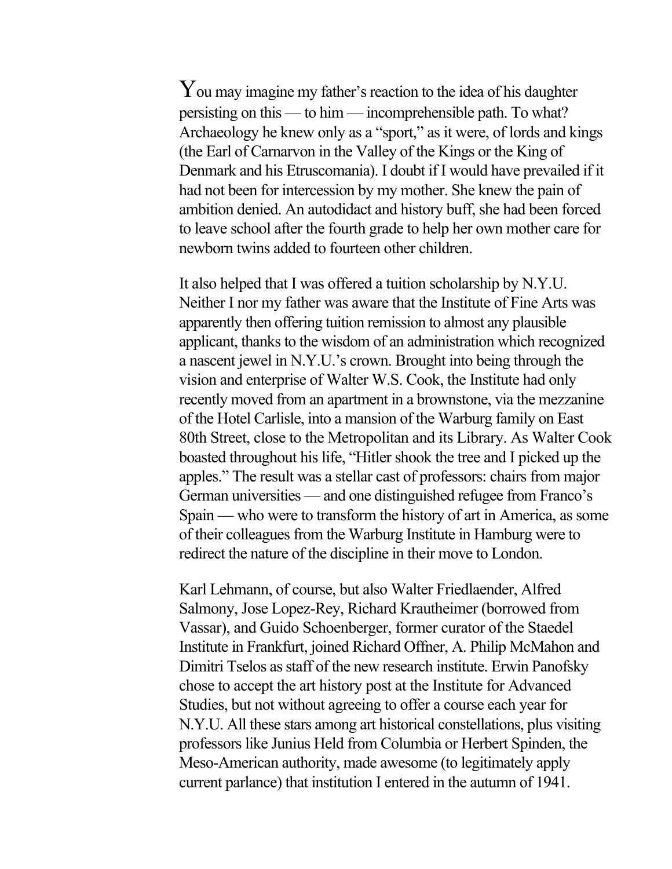You may imagine my father's reaction to the idea of his daughter persisting on this — to him — incomprehensible path. To what? Archaeology he knew only as a "sport," as it were, of lords and kings (the Earl of Carnarvon in the Valley of the Kings or the King of Denmark and his Etruscomania). I doubt if I would have prevailed if it had not been for intercession by my mother. She knew the pain of ambition denied. An autodidact and history buff, she had been forced to leave school after the fourth grade to help her own mother care for newborn twins added to fourteen other children.

It also helped that I was offered a tuition scholarship by N.Y.U. Neither I nor my father was aware that the Institute of Fine Arts was apparently then offering tuition remission to almost any plausible applicant, thanks to the wisdom of an administration which recognized a nascent jewel in N.Y.U.'s crown. Brought into being through the vision and enterprise of Walter W.S. Cook, the Institute had only recently moved from an apartment in a brownstone, via the mezzanine of the Hotel Carlisle, into a mansion of the Warburg family on East 80th Street, close to the Metropolitan and its Library. As Walter Cook boasted throughout his life, "Hitler shook the tree and I picked up the apples." The result was a stellar cast of professors: chairs from major German universities — and one distinguished refugee from Franco's Spain — who were to transform the history of art in America, as some of their colleagues from the Warburg Institute in Hamburg were to redirect the nature of the discipline in their move to London.

Karl Lehmann, of course, but also Walter Friedlaender, Alfred Salmony, Jose Lopez-Rey, Richard Krautheimer (borrowed from Vassar), and Guido Schoenberger, former curator of the Staedel Institute in Frankfurt, joined Richard Offner, A. Philip McMahon and Dimitri Tselos as staff of the new research institute. Erwin Panofsky chose to accept the art history post at the Institute for Advanced Studies, but not without agreeing to offer a course each year for N.Y.U. All these stars among art historical constellations, plus visiting professors like Junius Held from Columbia or Herbert Spinden, the Meso-American authority, made awesome (to legitimately apply current parlance) that institution I entered in the autumn of 1941.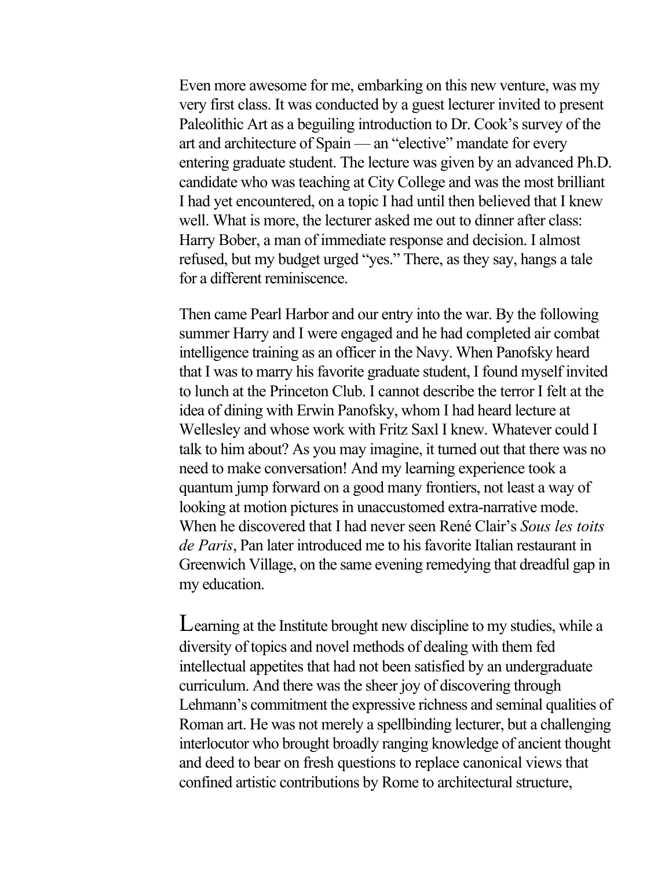Even more awesome for me, embarking on this new venture, was my very first class. It was conducted by a guest lecturer invited to present Paleolithic Art as a beguiling introduction to Dr. Cook's survey of the art and architecture of Spain — an "elective" mandate for every entering graduate student. The lecture was given by an advanced Ph.D. candidate who was teaching at City College and was the most brilliant I had yet encountered, on a topic I had until then believed that I knew well. What is more, the lecturer asked me out to dinner after class: Harry Bober, a man of immediate response and decision. I almost refused, but my budget urged "yes." There, as they say, hangs a tale for a different reminiscence.

Then came Pearl Harbor and our entry into the war. By the following summer Harry and I were engaged and he had completed air combat intelligence training as an officer in the Navy. When Panofsky heard that I was to marry his favorite graduate student, I found myself invited to lunch at the Princeton Club. I cannot describe the terror I felt at the idea of dining with Erwin Panofsky, whom I had heard lecture at Wellesley and whose work with Fritz Saxl I knew. Whatever could I talk to him about? As you may imagine, it turned out that there was no need to make conversation! And my learning experience took a quantum jump forward on a good many frontiers, not least a way of looking at motion pictures in unaccustomed extra-narrative mode. When he discovered that I had never seen René Clair's *Sous les toits de Paris*, Pan later introduced me to his favorite Italian restaurant in Greenwich Village, on the same evening remedying that dreadful gap in my education.

Learning at the Institute brought new discipline to my studies, while a diversity of topics and novel methods of dealing with them fed intellectual appetites that had not been satisfied by an undergraduate curriculum. And there was the sheer joy of discovering through Lehmann's commitment the expressive richness and seminal qualities of Roman art. He was not merely a spellbinding lecturer, but a challenging interlocutor who brought broadly ranging knowledge of ancient thought and deed to bear on fresh questions to replace canonical views that confined artistic contributions by Rome to architectural structure,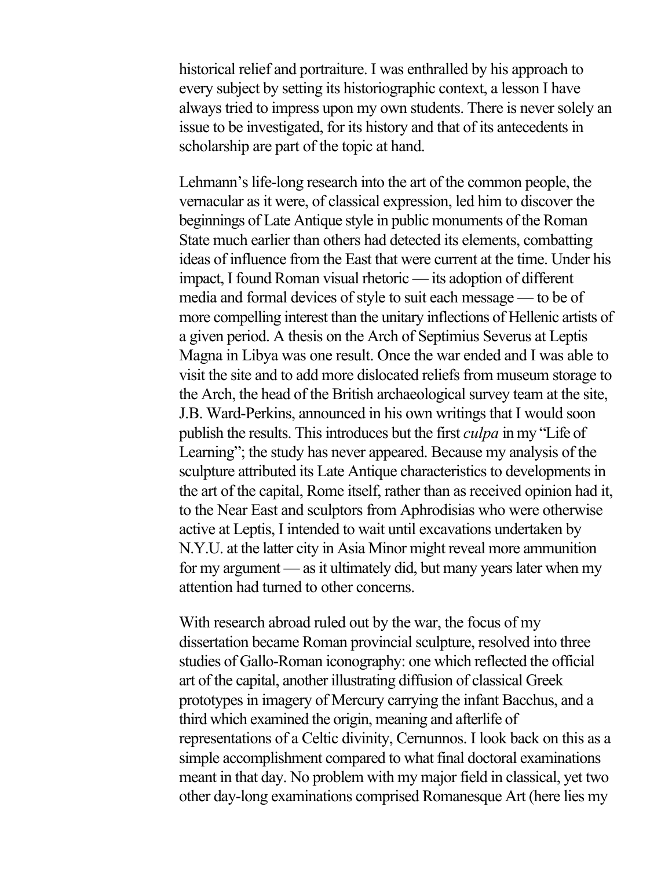historical relief and portraiture. I was enthralled by his approach to every subject by setting its historiographic context, a lesson I have always tried to impress upon my own students. There is never solely an issue to be investigated, for its history and that of its antecedents in scholarship are part of the topic at hand.

Lehmann's life-long research into the art of the common people, the vernacular as it were, of classical expression, led him to discover the beginnings of Late Antique style in public monuments of the Roman State much earlier than others had detected its elements, combatting ideas of influence from the East that were current at the time. Under his impact, I found Roman visual rhetoric — its adoption of different media and formal devices of style to suit each message — to be of more compelling interest than the unitary inflections of Hellenic artists of a given period. A thesis on the Arch of Septimius Severus at Leptis Magna in Libya was one result. Once the war ended and I was able to visit the site and to add more dislocated reliefs from museum storage to the Arch, the head of the British archaeological survey team at the site, J.B. Ward-Perkins, announced in his own writings that I would soon publish the results. This introduces but the first *culpa* in my "Life of Learning"; the study has never appeared. Because my analysis of the sculpture attributed its Late Antique characteristics to developments in the art of the capital, Rome itself, rather than as received opinion had it, to the Near East and sculptors from Aphrodisias who were otherwise active at Leptis, I intended to wait until excavations undertaken by N.Y.U. at the latter city in Asia Minor might reveal more ammunition for my argument — as it ultimately did, but many years later when my attention had turned to other concerns.

With research abroad ruled out by the war, the focus of my dissertation became Roman provincial sculpture, resolved into three studies of Gallo-Roman iconography: one which reflected the official art of the capital, another illustrating diffusion of classical Greek prototypes in imagery of Mercury carrying the infant Bacchus, and a third which examined the origin, meaning and afterlife of representations of a Celtic divinity, Cernunnos. I look back on this as a simple accomplishment compared to what final doctoral examinations meant in that day. No problem with my major field in classical, yet two other day-long examinations comprised Romanesque Art (here lies my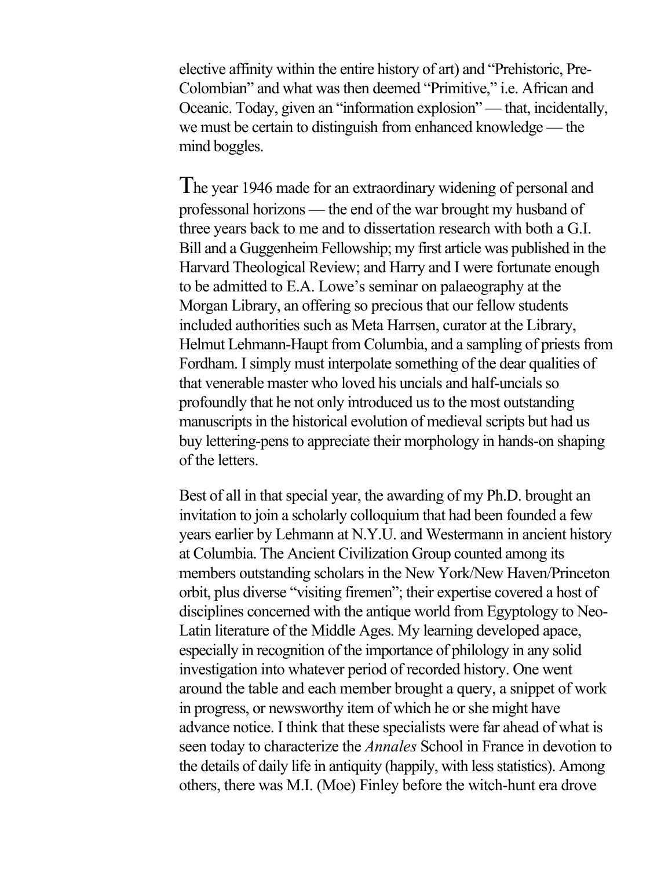elective affinity within the entire history of art) and "Prehistoric, Pre-Colombian" and what was then deemed "Primitive," i.e. African and Oceanic. Today, given an "information explosion" — that, incidentally, we must be certain to distinguish from enhanced knowledge — the mind boggles.

The year 1946 made for an extraordinary widening of personal and professonal horizons — the end of the war brought my husband of three years back to me and to dissertation research with both a G.I. Bill and a Guggenheim Fellowship; my first article was published in the Harvard Theological Review; and Harry and I were fortunate enough to be admitted to E.A. Lowe's seminar on palaeography at the Morgan Library, an offering so precious that our fellow students included authorities such as Meta Harrsen, curator at the Library, Helmut Lehmann-Haupt from Columbia, and a sampling of priests from Fordham. I simply must interpolate something of the dear qualities of that venerable master who loved his uncials and half-uncials so profoundly that he not only introduced us to the most outstanding manuscripts in the historical evolution of medieval scripts but had us buy lettering-pens to appreciate their morphology in hands-on shaping of the letters.

Best of all in that special year, the awarding of my Ph.D. brought an invitation to join a scholarly colloquium that had been founded a few years earlier by Lehmann at N.Y.U. and Westermann in ancient history at Columbia. The Ancient Civilization Group counted among its members outstanding scholars in the New York/New Haven/Princeton orbit, plus diverse "visiting firemen"; their expertise covered a host of disciplines concerned with the antique world from Egyptology to Neo-Latin literature of the Middle Ages. My learning developed apace, especially in recognition of the importance of philology in any solid investigation into whatever period of recorded history. One went around the table and each member brought a query, a snippet of work in progress, or newsworthy item of which he or she might have advance notice. I think that these specialists were far ahead of what is seen today to characterize the *Annales* School in France in devotion to the details of daily life in antiquity (happily, with less statistics). Among others, there was M.I. (Moe) Finley before the witch-hunt era drove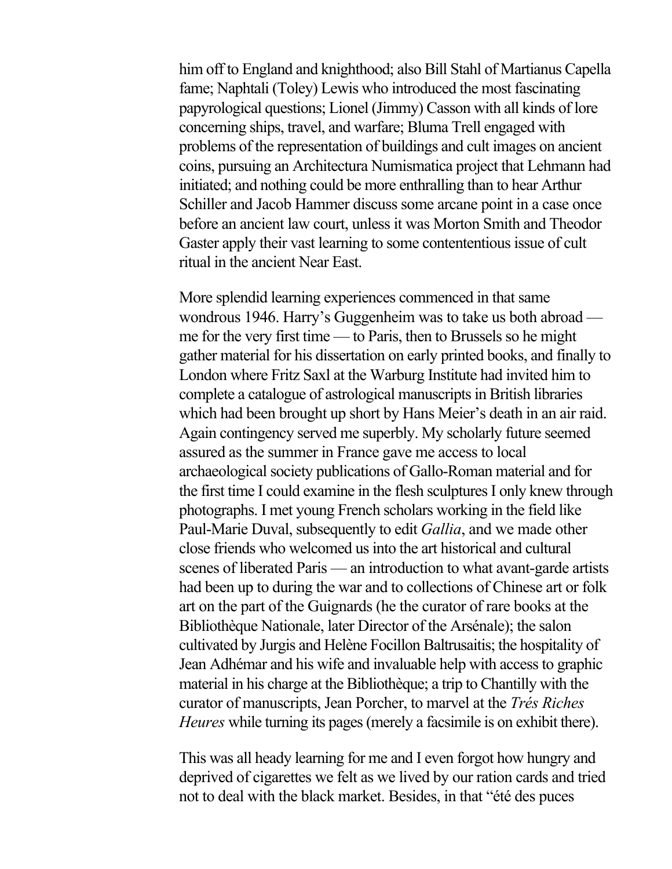him off to England and knighthood; also Bill Stahl of Martianus Capella fame; Naphtali (Toley) Lewis who introduced the most fascinating papyrological questions; Lionel (Jimmy) Casson with all kinds of lore concerning ships, travel, and warfare; Bluma Trell engaged with problems of the representation of buildings and cult images on ancient coins, pursuing an Architectura Numismatica project that Lehmann had initiated; and nothing could be more enthralling than to hear Arthur Schiller and Jacob Hammer discuss some arcane point in a case once before an ancient law court, unless it was Morton Smith and Theodor Gaster apply their vast learning to some contententious issue of cult ritual in the ancient Near East.

More splendid learning experiences commenced in that same wondrous 1946. Harry's Guggenheim was to take us both abroad me for the very first time — to Paris, then to Brussels so he might gather material for his dissertation on early printed books, and finally to London where Fritz Saxl at the Warburg Institute had invited him to complete a catalogue of astrological manuscripts in British libraries which had been brought up short by Hans Meier's death in an air raid. Again contingency served me superbly. My scholarly future seemed assured as the summer in France gave me access to local archaeological society publications of Gallo-Roman material and for the first time I could examine in the flesh sculptures I only knew through photographs. I met young French scholars working in the field like Paul-Marie Duval, subsequently to edit *Gallia*, and we made other close friends who welcomed us into the art historical and cultural scenes of liberated Paris — an introduction to what avant-garde artists had been up to during the war and to collections of Chinese art or folk art on the part of the Guignards (he the curator of rare books at the Bibliothèque Nationale, later Director of the Arsénale); the salon cultivated by Jurgis and Helène Focillon Baltrusaitis; the hospitality of Jean Adhémar and his wife and invaluable help with access to graphic material in his charge at the Bibliothèque; a trip to Chantilly with the curator of manuscripts, Jean Porcher, to marvel at the *Trés Riches Heures* while turning its pages (merely a facsimile is on exhibit there).

This was all heady learning for me and I even forgot how hungry and deprived of cigarettes we felt as we lived by our ration cards and tried not to deal with the black market. Besides, in that "été des puces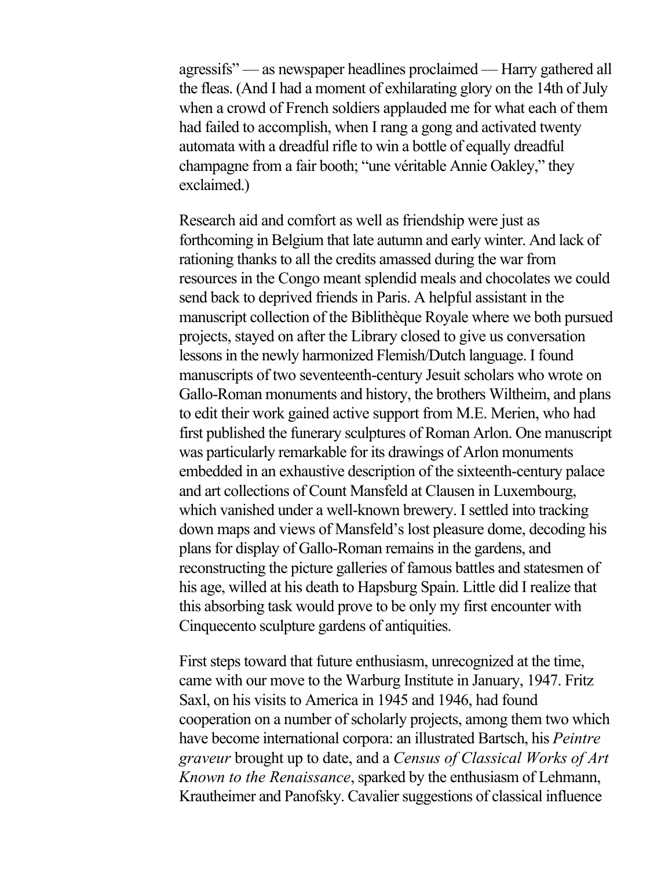agressifs" — as newspaper headlines proclaimed — Harry gathered all the fleas. (And I had a moment of exhilarating glory on the 14th of July when a crowd of French soldiers applauded me for what each of them had failed to accomplish, when I rang a gong and activated twenty automata with a dreadful rifle to win a bottle of equally dreadful champagne from a fair booth; "une véritable Annie Oakley," they exclaimed.)

Research aid and comfort as well as friendship were just as forthcoming in Belgium that late autumn and early winter. And lack of rationing thanks to all the credits amassed during the war from resources in the Congo meant splendid meals and chocolates we could send back to deprived friends in Paris. A helpful assistant in the manuscript collection of the Biblithèque Royale where we both pursued projects, stayed on after the Library closed to give us conversation lessons in the newly harmonized Flemish/Dutch language. I found manuscripts of two seventeenth-century Jesuit scholars who wrote on Gallo-Roman monuments and history, the brothers Wiltheim, and plans to edit their work gained active support from M.E. Merien, who had first published the funerary sculptures of Roman Arlon. One manuscript was particularly remarkable for its drawings of Arlon monuments embedded in an exhaustive description of the sixteenth-century palace and art collections of Count Mansfeld at Clausen in Luxembourg, which vanished under a well-known brewery. I settled into tracking down maps and views of Mansfeld's lost pleasure dome, decoding his plans for display of Gallo-Roman remains in the gardens, and reconstructing the picture galleries of famous battles and statesmen of his age, willed at his death to Hapsburg Spain. Little did I realize that this absorbing task would prove to be only my first encounter with Cinquecento sculpture gardens of antiquities.

First steps toward that future enthusiasm, unrecognized at the time, came with our move to the Warburg Institute in January, 1947. Fritz Saxl, on his visits to America in 1945 and 1946, had found cooperation on a number of scholarly projects, among them two which have become international corpora: an illustrated Bartsch, his *Peintre graveur* brought up to date, and a *Census of Classical Works of Art Known to the Renaissance*, sparked by the enthusiasm of Lehmann, Krautheimer and Panofsky. Cavalier suggestions of classical influence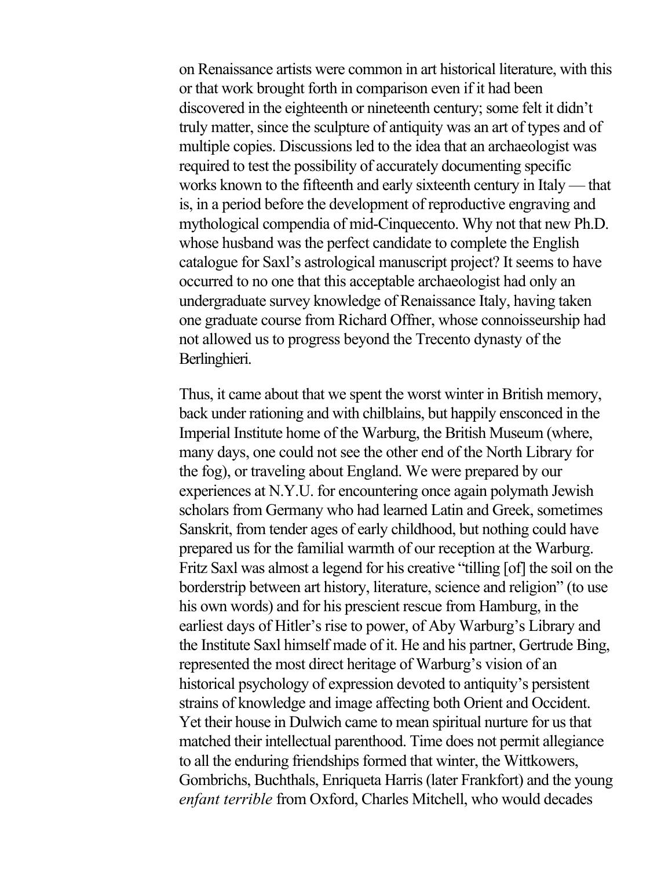on Renaissance artists were common in art historical literature, with this or that work brought forth in comparison even if it had been discovered in the eighteenth or nineteenth century; some felt it didn't truly matter, since the sculpture of antiquity was an art of types and of multiple copies. Discussions led to the idea that an archaeologist was required to test the possibility of accurately documenting specific works known to the fifteenth and early sixteenth century in Italy — that is, in a period before the development of reproductive engraving and mythological compendia of mid-Cinquecento. Why not that new Ph.D. whose husband was the perfect candidate to complete the English catalogue for Saxl's astrological manuscript project? It seems to have occurred to no one that this acceptable archaeologist had only an undergraduate survey knowledge of Renaissance Italy, having taken one graduate course from Richard Offner, whose connoisseurship had not allowed us to progress beyond the Trecento dynasty of the Berlinghieri.

Thus, it came about that we spent the worst winter in British memory, back under rationing and with chilblains, but happily ensconced in the Imperial Institute home of the Warburg, the British Museum (where, many days, one could not see the other end of the North Library for the fog), or traveling about England. We were prepared by our experiences at N.Y.U. for encountering once again polymath Jewish scholars from Germany who had learned Latin and Greek, sometimes Sanskrit, from tender ages of early childhood, but nothing could have prepared us for the familial warmth of our reception at the Warburg. Fritz Saxl was almost a legend for his creative "tilling [of] the soil on the borderstrip between art history, literature, science and religion" (to use his own words) and for his prescient rescue from Hamburg, in the earliest days of Hitler's rise to power, of Aby Warburg's Library and the Institute Saxl himself made of it. He and his partner, Gertrude Bing, represented the most direct heritage of Warburg's vision of an historical psychology of expression devoted to antiquity's persistent strains of knowledge and image affecting both Orient and Occident. Yet their house in Dulwich came to mean spiritual nurture for us that matched their intellectual parenthood. Time does not permit allegiance to all the enduring friendships formed that winter, the Wittkowers, Gombrichs, Buchthals, Enriqueta Harris (later Frankfort) and the young *enfant terrible* from Oxford, Charles Mitchell, who would decades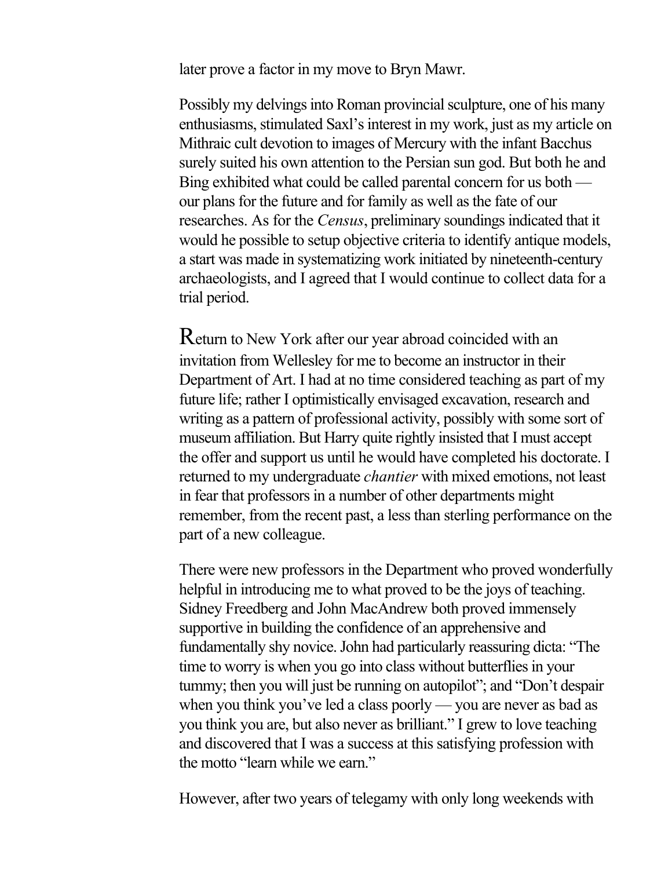later prove a factor in my move to Bryn Mawr.

Possibly my delvings into Roman provincial sculpture, one of his many enthusiasms, stimulated Saxl's interest in my work, just as my article on Mithraic cult devotion to images of Mercury with the infant Bacchus surely suited his own attention to the Persian sun god. But both he and Bing exhibited what could be called parental concern for us both our plans for the future and for family as well as the fate of our researches. As for the *Census*, preliminary soundings indicated that it would he possible to setup objective criteria to identify antique models, a start was made in systematizing work initiated by nineteenth-century archaeologists, and I agreed that I would continue to collect data for a trial period.

Return to New York after our year abroad coincided with an invitation from Wellesley for me to become an instructor in their Department of Art. I had at no time considered teaching as part of my future life; rather I optimistically envisaged excavation, research and writing as a pattern of professional activity, possibly with some sort of museum affiliation. But Harry quite rightly insisted that I must accept the offer and support us until he would have completed his doctorate. I returned to my undergraduate *chantier* with mixed emotions, not least in fear that professors in a number of other departments might remember, from the recent past, a less than sterling performance on the part of a new colleague.

There were new professors in the Department who proved wonderfully helpful in introducing me to what proved to be the joys of teaching. Sidney Freedberg and John MacAndrew both proved immensely supportive in building the confidence of an apprehensive and fundamentally shy novice. John had particularly reassuring dicta: "The time to worry is when you go into class without butterflies in your tummy; then you will just be running on autopilot"; and "Don't despair when you think you've led a class poorly — you are never as bad as you think you are, but also never as brilliant." I grew to love teaching and discovered that I was a success at this satisfying profession with the motto "learn while we earn"

However, after two years of telegamy with only long weekends with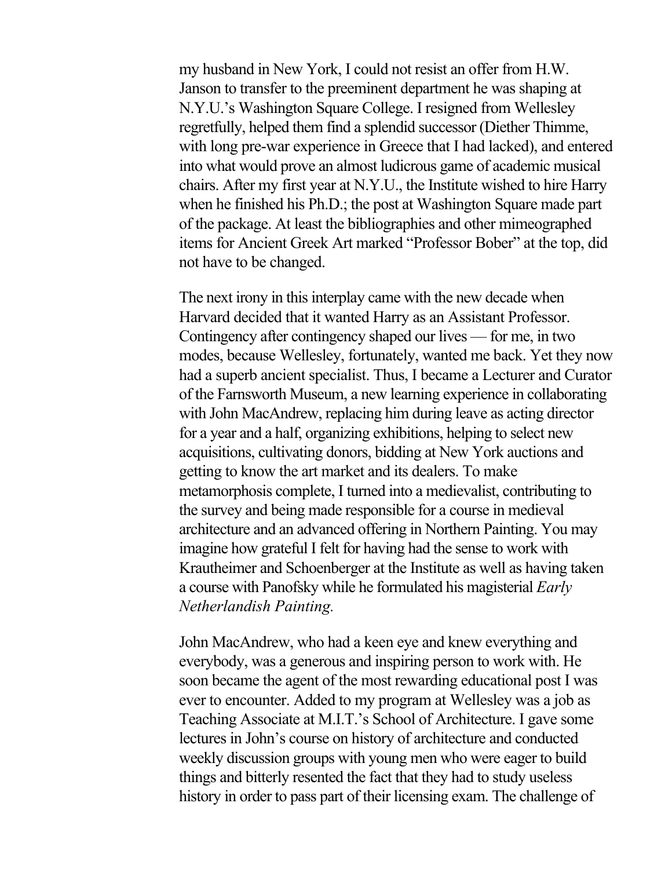my husband in New York, I could not resist an offer from H.W. Janson to transfer to the preeminent department he was shaping at N.Y.U.'s Washington Square College. I resigned from Wellesley regretfully, helped them find a splendid successor (Diether Thimme, with long pre-war experience in Greece that I had lacked), and entered into what would prove an almost ludicrous game of academic musical chairs. After my first year at N.Y.U., the Institute wished to hire Harry when he finished his Ph.D.; the post at Washington Square made part of the package. At least the bibliographies and other mimeographed items for Ancient Greek Art marked "Professor Bober" at the top, did not have to be changed.

The next irony in this interplay came with the new decade when Harvard decided that it wanted Harry as an Assistant Professor. Contingency after contingency shaped our lives — for me, in two modes, because Wellesley, fortunately, wanted me back. Yet they now had a superb ancient specialist. Thus, I became a Lecturer and Curator of the Farnsworth Museum, a new learning experience in collaborating with John MacAndrew, replacing him during leave as acting director for a year and a half, organizing exhibitions, helping to select new acquisitions, cultivating donors, bidding at New York auctions and getting to know the art market and its dealers. To make metamorphosis complete, I turned into a medievalist, contributing to the survey and being made responsible for a course in medieval architecture and an advanced offering in Northern Painting. You may imagine how grateful I felt for having had the sense to work with Krautheimer and Schoenberger at the Institute as well as having taken a course with Panofsky while he formulated his magisterial *Early Netherlandish Painting.*

John MacAndrew, who had a keen eye and knew everything and everybody, was a generous and inspiring person to work with. He soon became the agent of the most rewarding educational post I was ever to encounter. Added to my program at Wellesley was a job as Teaching Associate at M.I.T.'s School of Architecture. I gave some lectures in John's course on history of architecture and conducted weekly discussion groups with young men who were eager to build things and bitterly resented the fact that they had to study useless history in order to pass part of their licensing exam. The challenge of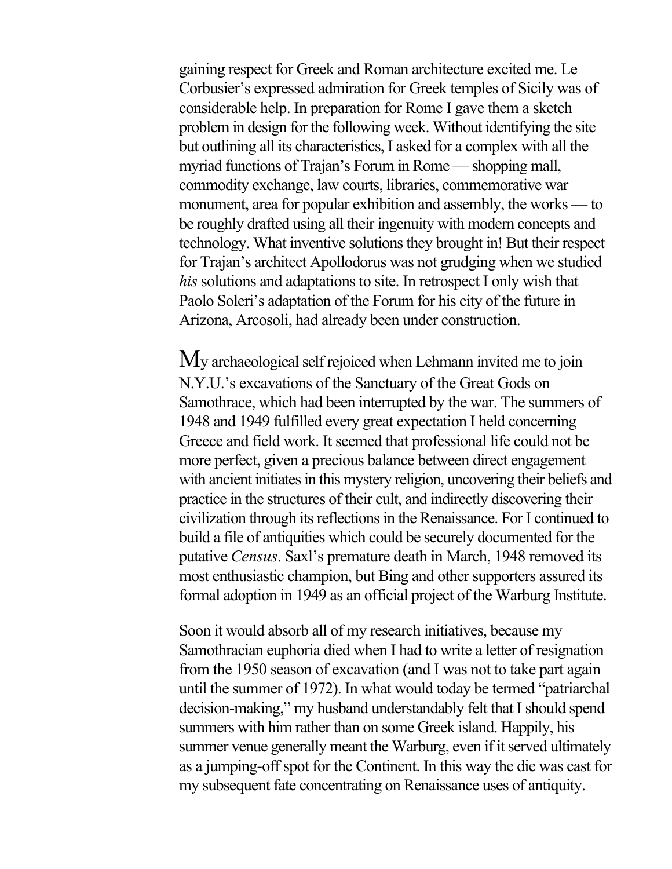gaining respect for Greek and Roman architecture excited me. Le Corbusier's expressed admiration for Greek temples of Sicily was of considerable help. In preparation for Rome I gave them a sketch problem in design for the following week. Without identifying the site but outlining all its characteristics, I asked for a complex with all the myriad functions of Trajan's Forum in Rome — shopping mall, commodity exchange, law courts, libraries, commemorative war monument, area for popular exhibition and assembly, the works — to be roughly drafted using all their ingenuity with modern concepts and technology. What inventive solutions they brought in! But their respect for Trajan's architect Apollodorus was not grudging when we studied *his* solutions and adaptations to site. In retrospect I only wish that Paolo Soleri's adaptation of the Forum for his city of the future in Arizona, Arcosoli, had already been under construction.

My archaeological self rejoiced when Lehmann invited me to join N.Y.U.'s excavations of the Sanctuary of the Great Gods on Samothrace, which had been interrupted by the war. The summers of 1948 and 1949 fulfilled every great expectation I held concerning Greece and field work. It seemed that professional life could not be more perfect, given a precious balance between direct engagement with ancient initiates in this mystery religion, uncovering their beliefs and practice in the structures of their cult, and indirectly discovering their civilization through its reflections in the Renaissance. For I continued to build a file of antiquities which could be securely documented for the putative *Census*. Saxl's premature death in March, 1948 removed its most enthusiastic champion, but Bing and other supporters assured its formal adoption in 1949 as an official project of the Warburg Institute.

Soon it would absorb all of my research initiatives, because my Samothracian euphoria died when I had to write a letter of resignation from the 1950 season of excavation (and I was not to take part again until the summer of 1972). In what would today be termed "patriarchal decision-making," my husband understandably felt that I should spend summers with him rather than on some Greek island. Happily, his summer venue generally meant the Warburg, even if it served ultimately as a jumping-off spot for the Continent. In this way the die was cast for my subsequent fate concentrating on Renaissance uses of antiquity.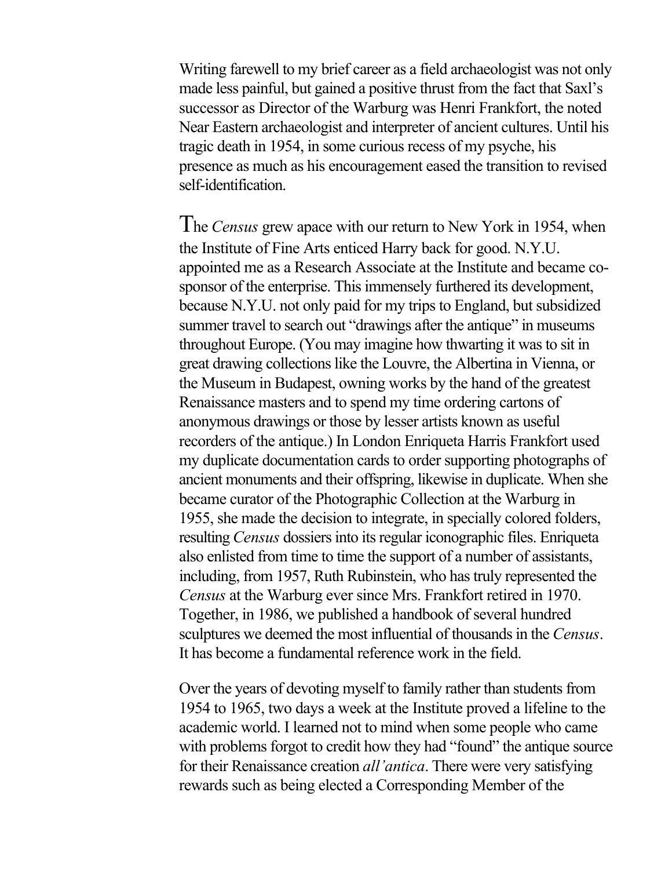Writing farewell to my brief career as a field archaeologist was not only made less painful, but gained a positive thrust from the fact that Saxl's successor as Director of the Warburg was Henri Frankfort, the noted Near Eastern archaeologist and interpreter of ancient cultures. Until his tragic death in 1954, in some curious recess of my psyche, his presence as much as his encouragement eased the transition to revised self-identification.

The *Census* grew apace with our return to New York in 1954, when the Institute of Fine Arts enticed Harry back for good. N.Y.U. appointed me as a Research Associate at the Institute and became cosponsor of the enterprise. This immensely furthered its development, because N.Y.U. not only paid for my trips to England, but subsidized summer travel to search out "drawings after the antique" in museums throughout Europe. (You may imagine how thwarting it was to sit in great drawing collections like the Louvre, the Albertina in Vienna, or the Museum in Budapest, owning works by the hand of the greatest Renaissance masters and to spend my time ordering cartons of anonymous drawings or those by lesser artists known as useful recorders of the antique.) In London Enriqueta Harris Frankfort used my duplicate documentation cards to order supporting photographs of ancient monuments and their offspring, likewise in duplicate. When she became curator of the Photographic Collection at the Warburg in 1955, she made the decision to integrate, in specially colored folders, resulting *Census* dossiers into its regular iconographic files. Enriqueta also enlisted from time to time the support of a number of assistants, including, from 1957, Ruth Rubinstein, who has truly represented the *Census* at the Warburg ever since Mrs. Frankfort retired in 1970. Together, in 1986, we published a handbook of several hundred sculptures we deemed the most influential of thousands in the *Census*. It has become a fundamental reference work in the field.

Over the years of devoting myself to family rather than students from 1954 to 1965, two days a week at the Institute proved a lifeline to the academic world. I learned not to mind when some people who came with problems forgot to credit how they had "found" the antique source for their Renaissance creation *all'antica*. There were very satisfying rewards such as being elected a Corresponding Member of the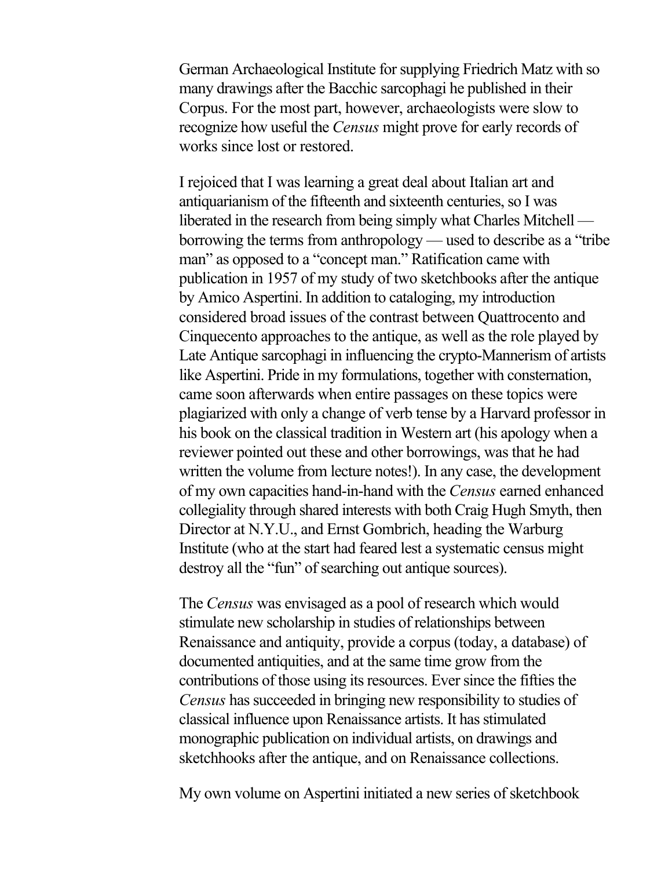German Archaeological Institute for supplying Friedrich Matz with so many drawings after the Bacchic sarcophagi he published in their Corpus. For the most part, however, archaeologists were slow to recognize how useful the *Census* might prove for early records of works since lost or restored.

I rejoiced that I was learning a great deal about Italian art and antiquarianism of the fifteenth and sixteenth centuries, so I was liberated in the research from being simply what Charles Mitchell borrowing the terms from anthropology — used to describe as a "tribe man" as opposed to a "concept man." Ratification came with publication in 1957 of my study of two sketchbooks after the antique by Amico Aspertini. In addition to cataloging, my introduction considered broad issues of the contrast between Quattrocento and Cinquecento approaches to the antique, as well as the role played by Late Antique sarcophagi in influencing the crypto-Mannerism of artists like Aspertini. Pride in my formulations, together with consternation, came soon afterwards when entire passages on these topics were plagiarized with only a change of verb tense by a Harvard professor in his book on the classical tradition in Western art (his apology when a reviewer pointed out these and other borrowings, was that he had written the volume from lecture notes!). In any case, the development of my own capacities hand-in-hand with the *Census* earned enhanced collegiality through shared interests with both Craig Hugh Smyth, then Director at N.Y.U., and Ernst Gombrich, heading the Warburg Institute (who at the start had feared lest a systematic census might destroy all the "fun" of searching out antique sources).

The *Census* was envisaged as a pool of research which would stimulate new scholarship in studies of relationships between Renaissance and antiquity, provide a corpus (today, a database) of documented antiquities, and at the same time grow from the contributions of those using its resources. Ever since the fifties the *Census* has succeeded in bringing new responsibility to studies of classical influence upon Renaissance artists. It has stimulated monographic publication on individual artists, on drawings and sketchhooks after the antique, and on Renaissance collections.

My own volume on Aspertini initiated a new series of sketchbook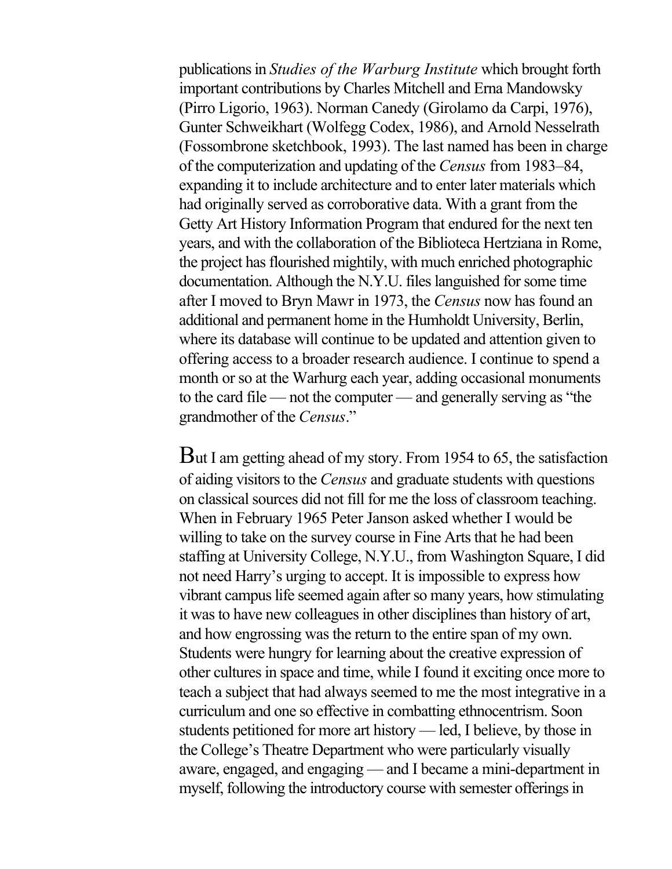publications in *Studies of the Warburg Institute* which brought forth important contributions by Charles Mitchell and Erna Mandowsky (Pirro Ligorio, 1963). Norman Canedy (Girolamo da Carpi, 1976), Gunter Schweikhart (Wolfegg Codex, 1986), and Arnold Nesselrath (Fossombrone sketchbook, 1993). The last named has been in charge of the computerization and updating of the *Census* from 1983–84, expanding it to include architecture and to enter later materials which had originally served as corroborative data. With a grant from the Getty Art History Information Program that endured for the next ten years, and with the collaboration of the Biblioteca Hertziana in Rome, the project has flourished mightily, with much enriched photographic documentation. Although the N.Y.U. files languished for some time after I moved to Bryn Mawr in 1973, the *Census* now has found an additional and permanent home in the Humholdt University, Berlin, where its database will continue to be updated and attention given to offering access to a broader research audience. I continue to spend a month or so at the Warhurg each year, adding occasional monuments to the card file — not the computer — and generally serving as "the grandmother of the *Census*."

But I am getting ahead of my story. From 1954 to 65, the satisfaction of aiding visitors to the *Census* and graduate students with questions on classical sources did not fill for me the loss of classroom teaching. When in February 1965 Peter Janson asked whether I would be willing to take on the survey course in Fine Arts that he had been staffing at University College, N.Y.U., from Washington Square, I did not need Harry's urging to accept. It is impossible to express how vibrant campus life seemed again after so many years, how stimulating it was to have new colleagues in other disciplines than history of art, and how engrossing was the return to the entire span of my own. Students were hungry for learning about the creative expression of other cultures in space and time, while I found it exciting once more to teach a subject that had always seemed to me the most integrative in a curriculum and one so effective in combatting ethnocentrism. Soon students petitioned for more art history — led, I believe, by those in the College's Theatre Department who were particularly visually aware, engaged, and engaging — and I became a mini-department in myself, following the introductory course with semester offerings in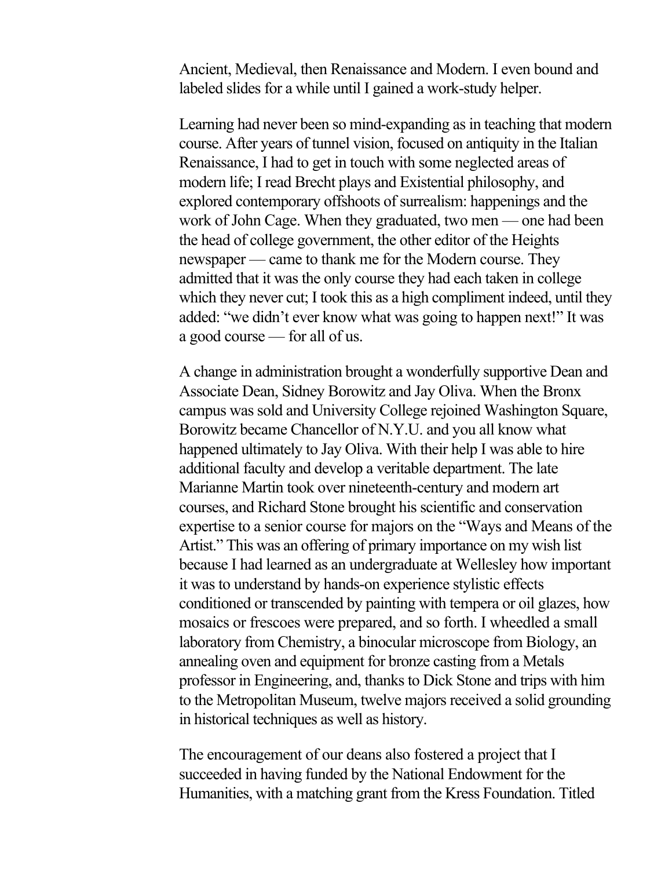Ancient, Medieval, then Renaissance and Modern. I even bound and labeled slides for a while until I gained a work-study helper.

Learning had never been so mind-expanding as in teaching that modern course. After years of tunnel vision, focused on antiquity in the Italian Renaissance, I had to get in touch with some neglected areas of modern life; I read Brecht plays and Existential philosophy, and explored contemporary offshoots of surrealism: happenings and the work of John Cage. When they graduated, two men — one had been the head of college government, the other editor of the Heights newspaper — came to thank me for the Modern course. They admitted that it was the only course they had each taken in college which they never cut; I took this as a high compliment indeed, until they added: "we didn't ever know what was going to happen next!" It was a good course — for all of us.

A change in administration brought a wonderfully supportive Dean and Associate Dean, Sidney Borowitz and Jay Oliva. When the Bronx campus was sold and University College rejoined Washington Square, Borowitz became Chancellor of N.Y.U. and you all know what happened ultimately to Jay Oliva. With their help I was able to hire additional faculty and develop a veritable department. The late Marianne Martin took over nineteenth-century and modern art courses, and Richard Stone brought his scientific and conservation expertise to a senior course for majors on the "Ways and Means of the Artist." This was an offering of primary importance on my wish list because I had learned as an undergraduate at Wellesley how important it was to understand by hands-on experience stylistic effects conditioned or transcended by painting with tempera or oil glazes, how mosaics or frescoes were prepared, and so forth. I wheedled a small laboratory from Chemistry, a binocular microscope from Biology, an annealing oven and equipment for bronze casting from a Metals professor in Engineering, and, thanks to Dick Stone and trips with him to the Metropolitan Museum, twelve majors received a solid grounding in historical techniques as well as history.

The encouragement of our deans also fostered a project that I succeeded in having funded by the National Endowment for the Humanities, with a matching grant from the Kress Foundation. Titled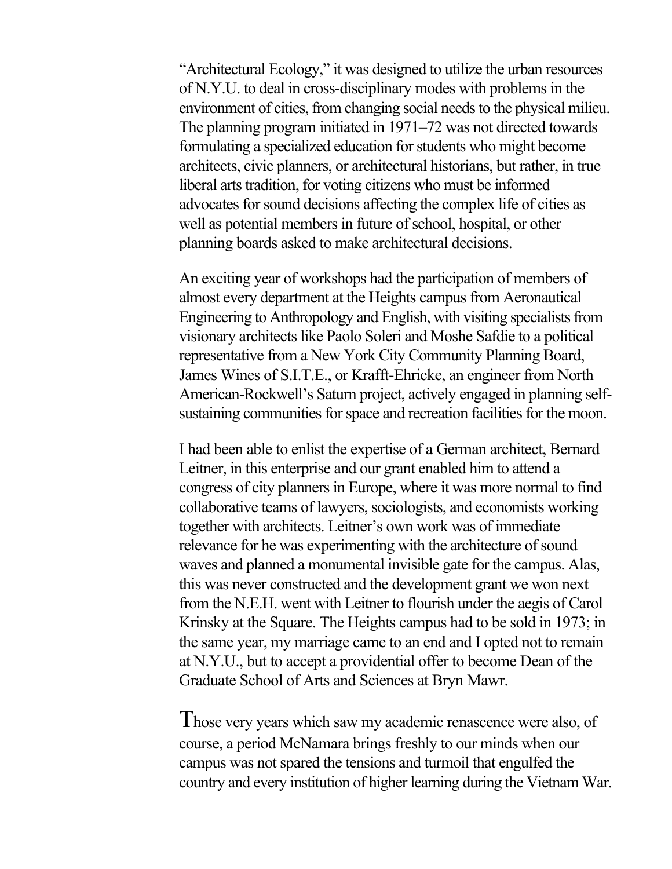"Architectural Ecology," it was designed to utilize the urban resources of N.Y.U. to deal in cross-disciplinary modes with problems in the environment of cities, from changing social needs to the physical milieu. The planning program initiated in 1971–72 was not directed towards formulating a specialized education for students who might become architects, civic planners, or architectural historians, but rather, in true liberal arts tradition, for voting citizens who must be informed advocates for sound decisions affecting the complex life of cities as well as potential members in future of school, hospital, or other planning boards asked to make architectural decisions.

An exciting year of workshops had the participation of members of almost every department at the Heights campus from Aeronautical Engineering to Anthropology and English, with visiting specialists from visionary architects like Paolo Soleri and Moshe Safdie to a political representative from a New York City Community Planning Board, James Wines of S.I.T.E., or Krafft-Ehricke, an engineer from North American-Rockwell's Saturn project, actively engaged in planning selfsustaining communities for space and recreation facilities for the moon.

I had been able to enlist the expertise of a German architect, Bernard Leitner, in this enterprise and our grant enabled him to attend a congress of city planners in Europe, where it was more normal to find collaborative teams of lawyers, sociologists, and economists working together with architects. Leitner's own work was of immediate relevance for he was experimenting with the architecture of sound waves and planned a monumental invisible gate for the campus. Alas, this was never constructed and the development grant we won next from the N.E.H. went with Leitner to flourish under the aegis of Carol Krinsky at the Square. The Heights campus had to be sold in 1973; in the same year, my marriage came to an end and I opted not to remain at N.Y.U., but to accept a providential offer to become Dean of the Graduate School of Arts and Sciences at Bryn Mawr.

Those very years which saw my academic renascence were also, of course, a period McNamara brings freshly to our minds when our campus was not spared the tensions and turmoil that engulfed the country and every institution of higher learning during the Vietnam War.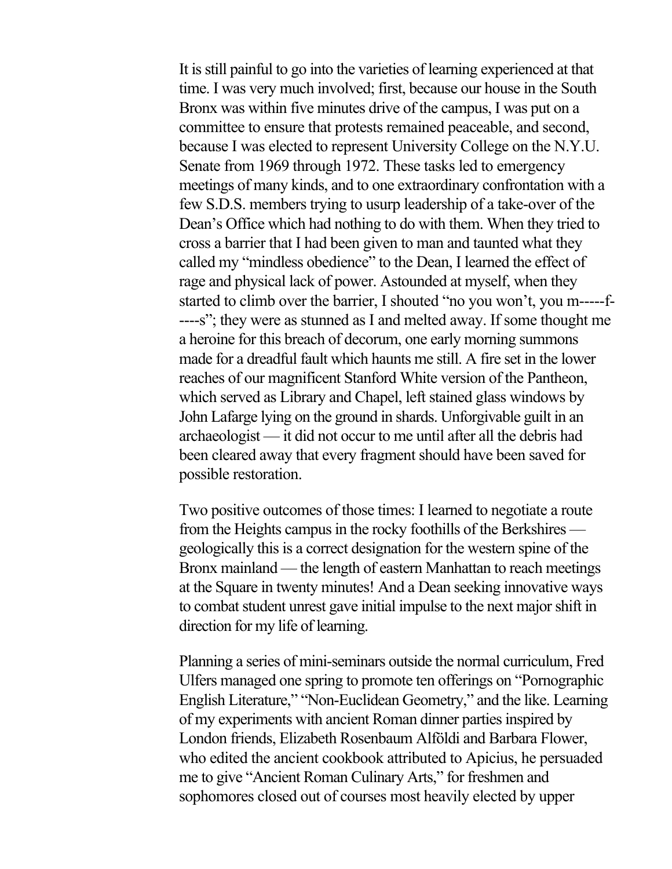It is still painful to go into the varieties of learning experienced at that time. I was very much involved; first, because our house in the South Bronx was within five minutes drive of the campus, I was put on a committee to ensure that protests remained peaceable, and second, because I was elected to represent University College on the N.Y.U. Senate from 1969 through 1972. These tasks led to emergency meetings of many kinds, and to one extraordinary confrontation with a few S.D.S. members trying to usurp leadership of a take-over of the Dean's Office which had nothing to do with them. When they tried to cross a barrier that I had been given to man and taunted what they called my "mindless obedience" to the Dean, I learned the effect of rage and physical lack of power. Astounded at myself, when they started to climb over the barrier, I shouted "no you won't, you m-----f- ----s"; they were as stunned as I and melted away. If some thought me a heroine for this breach of decorum, one early morning summons made for a dreadful fault which haunts me still. A fire set in the lower reaches of our magnificent Stanford White version of the Pantheon, which served as Library and Chapel, left stained glass windows by John Lafarge lying on the ground in shards. Unforgivable guilt in an archaeologist — it did not occur to me until after all the debris had been cleared away that every fragment should have been saved for possible restoration.

Two positive outcomes of those times: I learned to negotiate a route from the Heights campus in the rocky foothills of the Berkshires geologically this is a correct designation for the western spine of the Bronx mainland — the length of eastern Manhattan to reach meetings at the Square in twenty minutes! And a Dean seeking innovative ways to combat student unrest gave initial impulse to the next major shift in direction for my life of learning.

Planning a series of mini-seminars outside the normal curriculum, Fred Ulfers managed one spring to promote ten offerings on "Pornographic English Literature," "Non-Euclidean Geometry," and the like. Learning of my experiments with ancient Roman dinner parties inspired by London friends, Elizabeth Rosenbaum Alföldi and Barbara Flower, who edited the ancient cookbook attributed to Apicius, he persuaded me to give "Ancient Roman Culinary Arts," for freshmen and sophomores closed out of courses most heavily elected by upper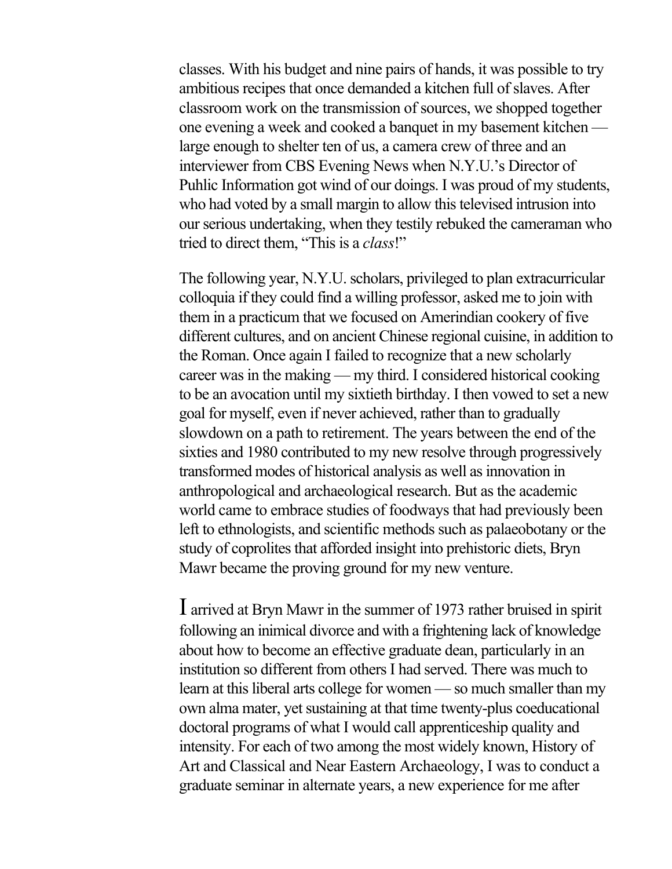classes. With his budget and nine pairs of hands, it was possible to try ambitious recipes that once demanded a kitchen full of slaves. After classroom work on the transmission of sources, we shopped together one evening a week and cooked a banquet in my basement kitchen large enough to shelter ten of us, a camera crew of three and an interviewer from CBS Evening News when N.Y.U.'s Director of Puhlic Information got wind of our doings. I was proud of my students, who had voted by a small margin to allow this televised intrusion into our serious undertaking, when they testily rebuked the cameraman who tried to direct them, "This is a *class*!"

The following year, N.Y.U. scholars, privileged to plan extracurricular colloquia if they could find a willing professor, asked me to join with them in a practicum that we focused on Amerindian cookery of five different cultures, and on ancient Chinese regional cuisine, in addition to the Roman. Once again I failed to recognize that a new scholarly career was in the making — my third. I considered historical cooking to be an avocation until my sixtieth birthday. I then vowed to set a new goal for myself, even if never achieved, rather than to gradually slowdown on a path to retirement. The years between the end of the sixties and 1980 contributed to my new resolve through progressively transformed modes of historical analysis as well as innovation in anthropological and archaeological research. But as the academic world came to embrace studies of foodways that had previously been left to ethnologists, and scientific methods such as palaeobotany or the study of coprolites that afforded insight into prehistoric diets, Bryn Mawr became the proving ground for my new venture.

I arrived at Bryn Mawr in the summer of 1973 rather bruised in spirit following an inimical divorce and with a frightening lack of knowledge about how to become an effective graduate dean, particularly in an institution so different from others I had served. There was much to learn at this liberal arts college for women — so much smaller than my own alma mater, yet sustaining at that time twenty-plus coeducational doctoral programs of what I would call apprenticeship quality and intensity. For each of two among the most widely known, History of Art and Classical and Near Eastern Archaeology, I was to conduct a graduate seminar in alternate years, a new experience for me after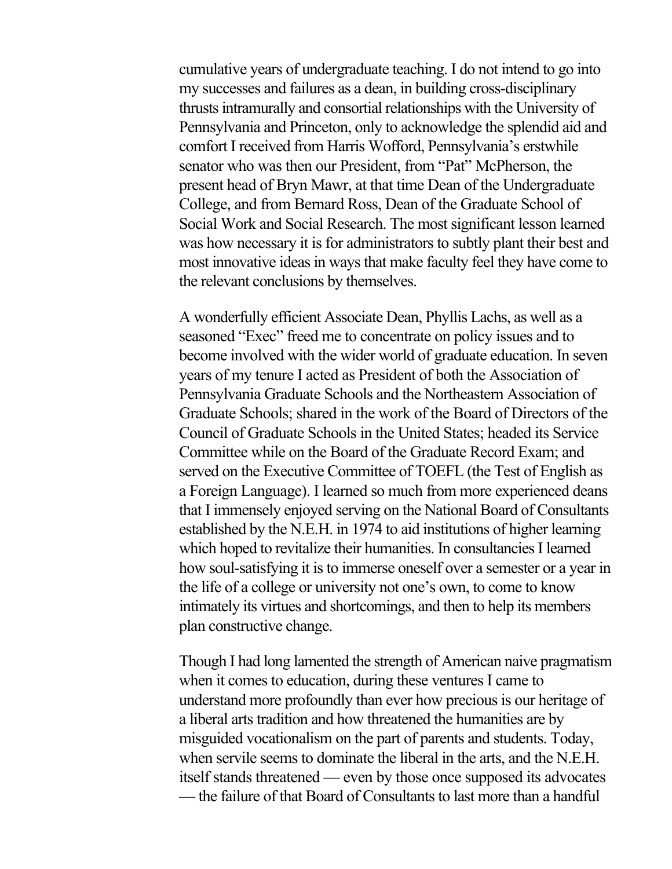cumulative years of undergraduate teaching. I do not intend to go into my successes and failures as a dean, in building cross-disciplinary thrusts intramurally and consortial relationships with the University of Pennsylvania and Princeton, only to acknowledge the splendid aid and comfort I received from Harris Wofford, Pennsylvania's erstwhile senator who was then our President, from "Pat" McPherson, the present head of Bryn Mawr, at that time Dean of the Undergraduate College, and from Bernard Ross, Dean of the Graduate School of Social Work and Social Research. The most significant lesson learned was how necessary it is for administrators to subtly plant their best and most innovative ideas in ways that make faculty feel they have come to the relevant conclusions by themselves.

A wonderfully efficient Associate Dean, Phyllis Lachs, as well as a seasoned "Exec" freed me to concentrate on policy issues and to become involved with the wider world of graduate education. In seven years of my tenure I acted as President of both the Association of Pennsylvania Graduate Schools and the Northeastern Association of Graduate Schools; shared in the work of the Board of Directors of the Council of Graduate Schools in the United States; headed its Service Committee while on the Board of the Graduate Record Exam; and served on the Executive Committee of TOEFL (the Test of English as a Foreign Language). I learned so much from more experienced deans that I immensely enjoyed serving on the National Board of Consultants established by the N.E.H. in 1974 to aid institutions of higher learning which hoped to revitalize their humanities. In consultancies I learned how soul-satisfying it is to immerse oneself over a semester or a year in the life of a college or university not one's own, to come to know intimately its virtues and shortcomings, and then to help its members plan constructive change.

Though I had long lamented the strength of American naive pragmatism when it comes to education, during these ventures I came to understand more profoundly than ever how precious is our heritage of a liberal arts tradition and how threatened the humanities are by misguided vocationalism on the part of parents and students. Today, when servile seems to dominate the liberal in the arts, and the N.E.H. itself stands threatened — even by those once supposed its advocates — the failure of that Board of Consultants to last more than a handful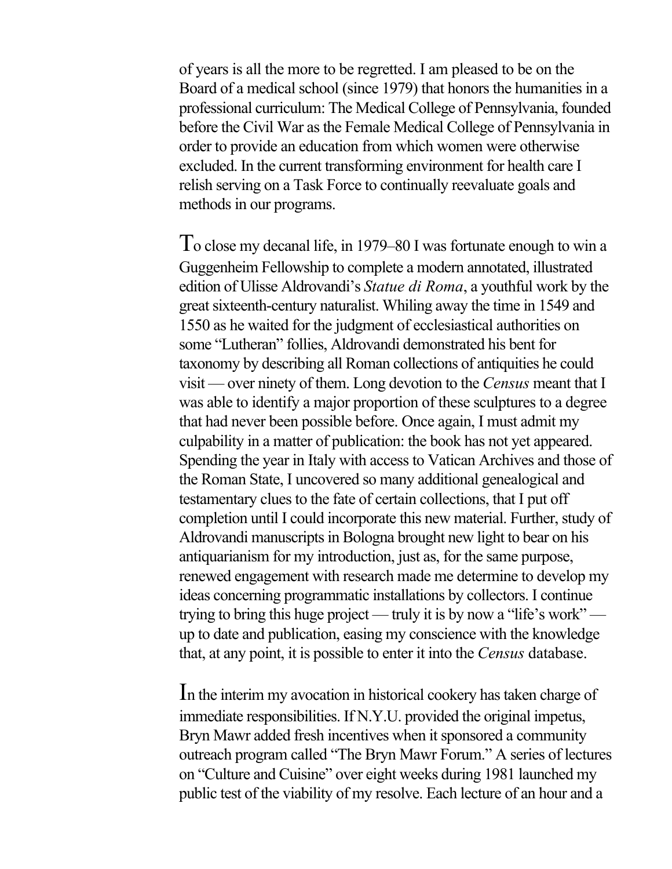of years is all the more to be regretted. I am pleased to be on the Board of a medical school (since 1979) that honors the humanities in a professional curriculum: The Medical College of Pennsylvania, founded before the Civil War as the Female Medical College of Pennsylvania in order to provide an education from which women were otherwise excluded. In the current transforming environment for health care I relish serving on a Task Force to continually reevaluate goals and methods in our programs.

To close my decanal life, in 1979–80 I was fortunate enough to win a Guggenheim Fellowship to complete a modern annotated, illustrated edition of Ulisse Aldrovandi's *Statue di Roma*, a youthful work by the great sixteenth-century naturalist. Whiling away the time in 1549 and 1550 as he waited for the judgment of ecclesiastical authorities on some "Lutheran" follies, Aldrovandi demonstrated his bent for taxonomy by describing all Roman collections of antiquities he could visit — over ninety of them. Long devotion to the *Census* meant that I was able to identify a major proportion of these sculptures to a degree that had never been possible before. Once again, I must admit my culpability in a matter of publication: the book has not yet appeared. Spending the year in Italy with access to Vatican Archives and those of the Roman State, I uncovered so many additional genealogical and testamentary clues to the fate of certain collections, that I put off completion until I could incorporate this new material. Further, study of Aldrovandi manuscripts in Bologna brought new light to bear on his antiquarianism for my introduction, just as, for the same purpose, renewed engagement with research made me determine to develop my ideas concerning programmatic installations by collectors. I continue trying to bring this huge project — truly it is by now a "life's work" up to date and publication, easing my conscience with the knowledge that, at any point, it is possible to enter it into the *Census* database.

In the interim my avocation in historical cookery has taken charge of immediate responsibilities. If N.Y.U. provided the original impetus, Bryn Mawr added fresh incentives when it sponsored a community outreach program called "The Bryn Mawr Forum." A series of lectures on "Culture and Cuisine" over eight weeks during 1981 launched my public test of the viability of my resolve. Each lecture of an hour and a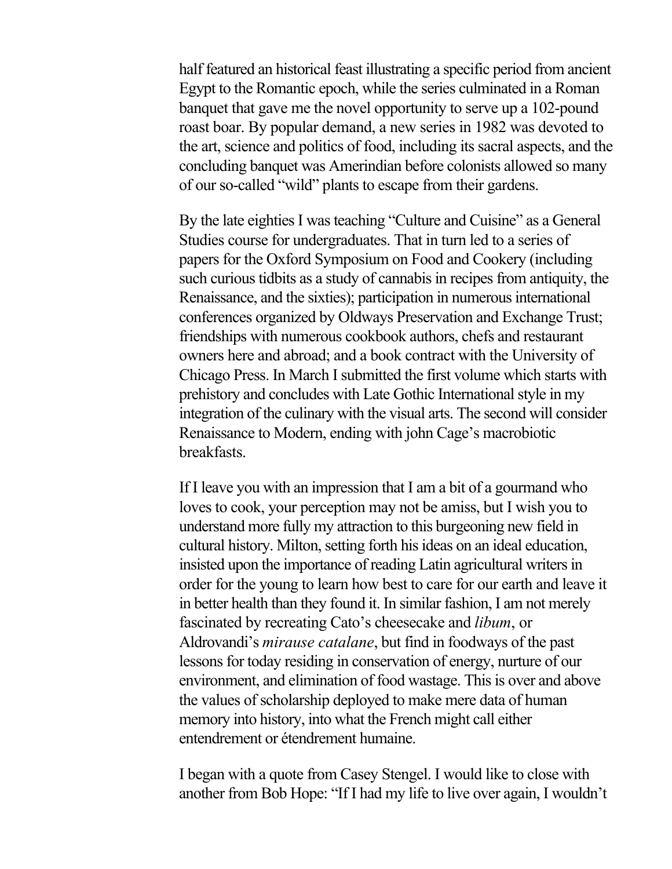half featured an historical feast illustrating a specific period from ancient Egypt to the Romantic epoch, while the series culminated in a Roman banquet that gave me the novel opportunity to serve up a 102-pound roast boar. By popular demand, a new series in 1982 was devoted to the art, science and politics of food, including its sacral aspects, and the concluding banquet was Amerindian before colonists allowed so many of our so-called "wild" plants to escape from their gardens.

By the late eighties I was teaching "Culture and Cuisine" as a General Studies course for undergraduates. That in turn led to a series of papers for the Oxford Symposium on Food and Cookery (including such curious tidbits as a study of cannabis in recipes from antiquity, the Renaissance, and the sixties); participation in numerous international conferences organized by Oldways Preservation and Exchange Trust; friendships with numerous cookbook authors, chefs and restaurant owners here and abroad; and a book contract with the University of Chicago Press. In March I submitted the first volume which starts with prehistory and concludes with Late Gothic International style in my integration of the culinary with the visual arts. The second will consider Renaissance to Modern, ending with john Cage's macrobiotic breakfasts.

If I leave you with an impression that I am a bit of a gourmand who loves to cook, your perception may not be amiss, but I wish you to understand more fully my attraction to this burgeoning new field in cultural history. Milton, setting forth his ideas on an ideal education, insisted upon the importance of reading Latin agricultural writers in order for the young to learn how best to care for our earth and leave it in better health than they found it. In similar fashion, I am not merely fascinated by recreating Cato's cheesecake and *libum*, or Aldrovandi's *mirause catalane*, but find in foodways of the past lessons for today residing in conservation of energy, nurture of our environment, and elimination of food wastage. This is over and above the values of scholarship deployed to make mere data of human memory into history, into what the French might call either entendrement or étendrement humaine.

I began with a quote from Casey Stengel. I would like to close with another from Bob Hope: "If I had my life to live over again, I wouldn't